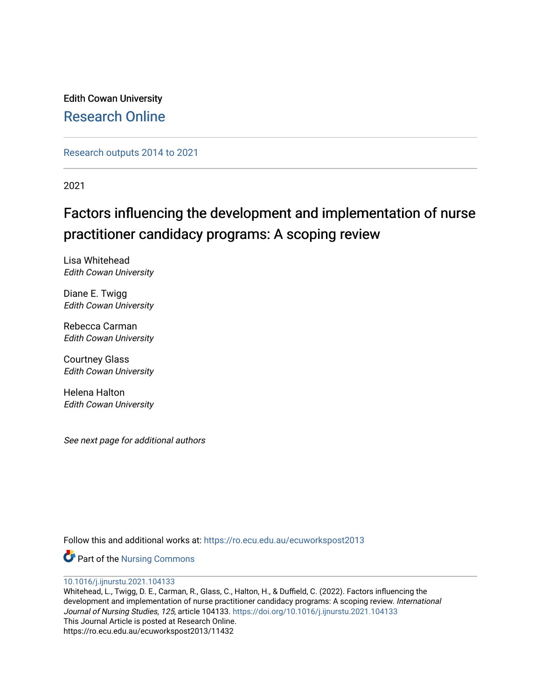Edith Cowan University [Research Online](https://ro.ecu.edu.au/) 

[Research outputs 2014 to 2021](https://ro.ecu.edu.au/ecuworkspost2013) 

2021

# Factors influencing the development and implementation of nurse practitioner candidacy programs: A scoping review

Lisa Whitehead Edith Cowan University

Diane E. Twigg Edith Cowan University

Rebecca Carman Edith Cowan University

Courtney Glass Edith Cowan University

Helena Halton Edith Cowan University

See next page for additional authors

Follow this and additional works at: [https://ro.ecu.edu.au/ecuworkspost2013](https://ro.ecu.edu.au/ecuworkspost2013?utm_source=ro.ecu.edu.au%2Fecuworkspost2013%2F11432&utm_medium=PDF&utm_campaign=PDFCoverPages) 

Part of the [Nursing Commons](http://network.bepress.com/hgg/discipline/718?utm_source=ro.ecu.edu.au%2Fecuworkspost2013%2F11432&utm_medium=PDF&utm_campaign=PDFCoverPages) 

[10.1016/j.ijnurstu.2021.104133](http://dx.doi.org/10.1016/j.ijnurstu.2021.104133) 

Whitehead, L., Twigg, D. E., Carman, R., Glass, C., Halton, H., & Duffield, C. (2022). Factors influencing the development and implementation of nurse practitioner candidacy programs: A scoping review. International Journal of Nursing Studies, 125, article 104133. <https://doi.org/10.1016/j.ijnurstu.2021.104133> This Journal Article is posted at Research Online. https://ro.ecu.edu.au/ecuworkspost2013/11432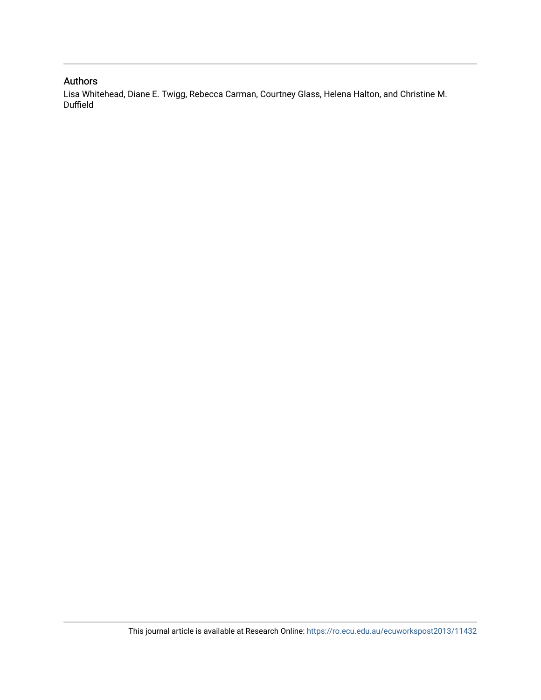## Authors

Lisa Whitehead, Diane E. Twigg, Rebecca Carman, Courtney Glass, Helena Halton, and Christine M. Duffield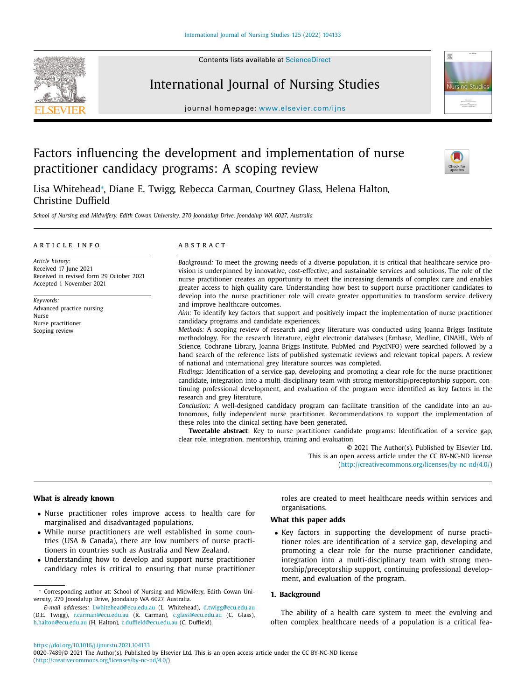Contents lists available at [ScienceDirect](http://www.ScienceDirect.com)







journal homepage: [www.elsevier.com/ijns](http://www.elsevier.com/ijns)

## Factors influencing the development and implementation of nurse practitioner candidacy programs: A scoping review



Lisa Whitehead<sup>∗</sup> , Diane E. Twigg, Rebecca Carman, Courtney Glass, Helena Halton, Christine Duffield

*School of Nursing and Midwifery, Edith Cowan University, 270 Joondalup Drive, Joondalup WA 6027, Australia*

#### a r t i c l e i n f o

A B S T R A C T

*Article history:* Received 17 June 2021 Received in revised form 29 October 2021 Accepted 1 November 2021

*Keywords:* Advanced practice nursing Nurse Nurse practitioner Scoping review

*Background:* To meet the growing needs of a diverse population, it is critical that healthcare service provision is underpinned by innovative, cost-effective, and sustainable services and solutions. The role of the nurse practitioner creates an opportunity to meet the increasing demands of complex care and enables greater access to high quality care. Understanding how best to support nurse practitioner candidates to develop into the nurse practitioner role will create greater opportunities to transform service delivery and improve healthcare outcomes.

*Aim:* To identify key factors that support and positively impact the implementation of nurse practitioner candidacy programs and candidate experiences.

*Methods:* A scoping review of research and grey literature was conducted using Joanna Briggs Institute methodology. For the research literature, eight electronic databases (Embase, Medline, CINAHL, Web of Science, Cochrane Library, Joanna Briggs Institute, PubMed and PsycINFO) were searched followed by a hand search of the reference lists of published systematic reviews and relevant topical papers. A review of national and international grey literature sources was completed.

*Findings:* Identification of a service gap, developing and promoting a clear role for the nurse practitioner candidate, integration into a multi-disciplinary team with strong mentorship/preceptorship support, continuing professional development, and evaluation of the program were identified as key factors in the research and grey literature.

*Conclusion:* A well-designed candidacy program can facilitate transition of the candidate into an autonomous, fully independent nurse practitioner. Recommendations to support the implementation of these roles into the clinical setting have been generated.

**Tweetable abstract**: Key to nurse practitioner candidate programs: Identification of a service gap, clear role, integration, mentorship, training and evaluation

© 2021 The Author(s). Published by Elsevier Ltd. This is an open access article under the CC BY-NC-ND license [\(http://creativecommons.org/licenses/by-nc-nd/4.0/\)](http://creativecommons.org/licenses/by-nc-nd/4.0/)

#### **What is already known**

- Nurse practitioner roles improve access to health care for marginalised and disadvantaged populations.
- While nurse practitioners are well established in some countries (USA & Canada), there are low numbers of nurse practitioners in countries such as Australia and New Zealand.
- Understanding how to develop and support nurse practitioner candidacy roles is critical to ensuring that nurse practitioner

roles are created to meet healthcare needs within services and organisations.

### **What this paper adds**

• Key factors in supporting the development of nurse practitioner roles are identification of a service gap, developing and promoting a clear role for the nurse practitioner candidate, integration into a multi-disciplinary team with strong mentorship/preceptorship support, continuing professional development, and evaluation of the program.

#### **1. Background**

The ability of a health care system to meet the evolving and often complex healthcare needs of a population is a critical fea-

<sup>∗</sup> Corresponding author at: School of Nursing and Midwifery, Edith Cowan University, 270 Joondalup Drive, Joondalup WA 6027, Australia.

*E-mail addresses:* [l.whitehead@ecu.edu.au](mailto:l.whitehead@ecu.edu.au) (L. Whitehead), [d.twigg@ecu.edu.au](mailto:d.twigg@ecu.edu.au) (D.E. Twigg), [r.carman@ecu.edu.au](mailto:r.carman@ecu.edu.au) (R. Carman), [c.glass@ecu.edu.au](mailto:c.glass@ecu.edu.au) (C. Glass), [h.halton@ecu.edu.au](mailto:h.halton@ecu.edu.au) (H. Halton), [c.duffield@ecu.edu.au](mailto:c.duffield@ecu.edu.au) (C. Duffield).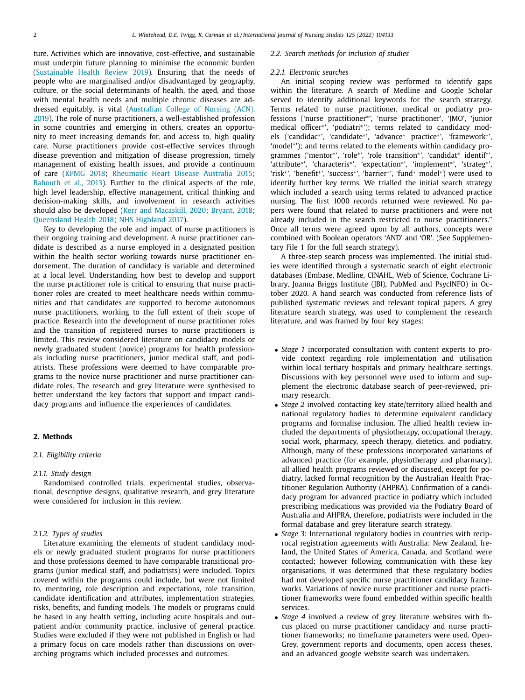ture. Activities which are innovative, cost-effective, and sustainable must underpin future planning to minimise the economic burden [\(Sustainable](#page-12-0) Health Review 2019). Ensuring that the needs of people who are marginalised and/or disadvantaged by geography, culture, or the social determinants of health, the aged, and those with mental health needs and multiple chronic diseases are addressed equitably, is vital (Australian College of Nursing (ACN). 2019). The role of nurse practitioners, a [well-established](#page-11-0) profession in some countries and emerging in others, creates an opportunity to meet increasing demands for, and access to, high quality care. Nurse practitioners provide cost-effective services through disease prevention and mitigation of disease progression, timely management of existing health issues, and provide a continuum of care [\(KPMG](#page-12-0) 2018; [Rheumatic](#page-12-0) Heart Disease Australia 2015; [Bahouth](#page-11-0) et al., 2013). Further to the clinical aspects of the role, high level leadership, effective management, critical thinking and decision-making skills, and involvement in research activities should also be developed (Kerr and [Macaskill,](#page-12-0) 2020; [Bryant,](#page-11-0) 2018; [Queensland](#page-12-0) Health 2018; NHS [Highland](#page-12-0) 2017).

Key to developing the role and impact of nurse practitioners is their ongoing training and development. A nurse practitioner candidate is described as a nurse employed in a designated position within the health sector working towards nurse practitioner endorsement. The duration of candidacy is variable and determined at a local level. Understanding how best to develop and support the nurse practitioner role is critical to ensuring that nurse practitioner roles are created to meet healthcare needs within communities and that candidates are supported to become autonomous nurse practitioners, working to the full extent of their scope of practice. Research into the development of nurse practitioner roles and the transition of registered nurses to nurse practitioners is limited. This review considered literature on candidacy models or newly graduated student (novice) programs for health professionals including nurse practitioners, junior medical staff, and podiatrists. These professions were deemed to have comparable programs to the novice nurse practitioner and nurse practitioner candidate roles. The research and grey literature were synthesised to better understand the key factors that support and impact candidacy programs and influence the experiences of candidates.

#### **2. Methods**

#### *2.1. Eligibility criteria*

#### *2.1.1. Study design*

Randomised controlled trials, experimental studies, observational, descriptive designs, qualitative research, and grey literature were considered for inclusion in this review.

#### *2.1.2. Types of studies*

Literature examining the elements of student candidacy models or newly graduated student programs for nurse practitioners and those professions deemed to have comparable transitional programs (junior medical staff, and podiatrists) were included. Topics covered within the programs could include, but were not limited to, mentoring, role description and expectations, role transition, candidate identification and attributes, implementation strategies, risks, benefits, and funding models. The models or programs could be based in any health setting, including acute hospitals and outpatient and/or community practice, inclusive of general practice. Studies were excluded if they were not published in English or had a primary focus on care models rather than discussions on overarching programs which included processes and outcomes.

#### *2.2. Search methods for inclusion of studies*

#### *2.2.1. Electronic searches*

An initial scoping review was performed to identify gaps within the literature. A search of Medline and Google Scholar served to identify additional keywords for the search strategy. Terms related to nurse practitioner, medical or podiatry professions ('nurse practitioner∗', 'nurse practitioner', 'JMO', 'junior medical officer<sup>\*</sup>', 'podiatri<sup>\*</sup>'); terms related to candidacy models ('candidac∗', 'candidate∗', 'advance∗ practice∗', 'framework∗', 'model∗'); and terms related to the elements within candidacy programmes ('mentor∗', 'role∗', 'role transition∗', 'candidat∗ identif∗', 'attribute∗', 'characteris∗', 'expectation∗', 'implement∗', 'strateg∗', 'risk∗', 'benefit∗', 'success∗', 'barrier∗', 'fund∗ model∗) were used to identify further key terms. We trialled the initial search strategy which included a search using terms related to advanced practice nursing. The first 1000 records returned were reviewed. No papers were found that related to nurse practitioners and were not already included in the search restricted to nurse practitioners." Once all terms were agreed upon by all authors, concepts were combined with Boolean operators 'AND' and 'OR'. (See Supplementary File 1 for the full search strategy).

A three-step search process was implemented. The initial studies were identified through a systematic search of eight electronic databases (Embase, Medline, CINAHL, Web of Science, Cochrane Library, Joanna Briggs Institute (JBI), PubMed and PsycINFO) in October 2020. A hand search was conducted from reference lists of published systematic reviews and relevant topical papers. A grey literature search strategy, was used to complement the research literature, and was framed by four key stages:

- *Stage 1* incorporated consultation with content experts to provide context regarding role implementation and utilisation within local tertiary hospitals and primary healthcare settings. Discussions with key personnel were used to inform and supplement the electronic database search of peer-reviewed, primary research.
- *Stage 2* involved contacting key state/territory allied health and national regulatory bodies to determine equivalent candidacy programs and formalise inclusion. The allied health review included the departments of physiotherapy, occupational therapy, social work, pharmacy, speech therapy, dietetics, and podiatry. Although, many of these professions incorporated variations of advanced practice (for example, physiotherapy and pharmacy), all allied health programs reviewed or discussed, except for podiatry, lacked formal recognition by the Australian Health Practitioner Regulation Authority (AHPRA). Confirmation of a candidacy program for advanced practice in podiatry which included prescribing medications was provided via the Podiatry Board of Australia and AHPRA, therefore, podiatrists were included in the formal database and grey literature search strategy.
- *Stage 3*: International regulatory bodies in countries with reciprocal registration agreements with Australia: New Zealand, Ireland, the United States of America, Canada, and Scotland were contacted; however following communication with these key organisations, it was determined that these regulatory bodies had not developed specific nurse practitioner candidacy frameworks. Variations of novice nurse practitioner and nurse practitioner frameworks were found embedded within specific health services.
- *Stage 4* involved a review of grey literature websites with focus placed on nurse practitioner candidacy and nurse practitioner frameworks; no timeframe parameters were used. Open-Grey, government reports and documents, open access theses, and an advanced google website search was undertaken.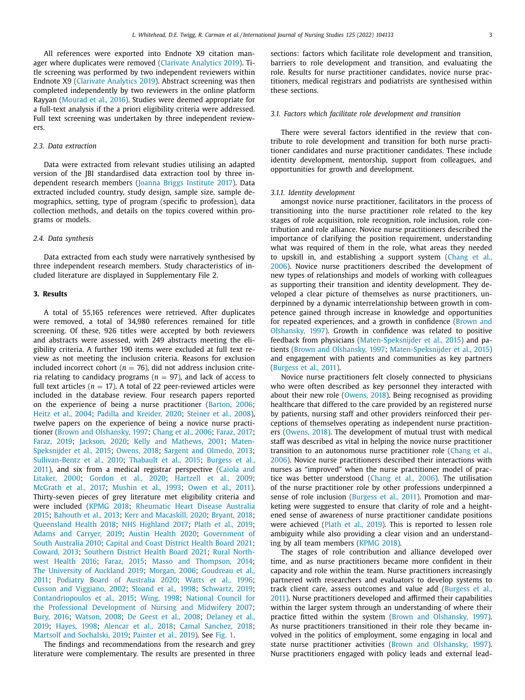All references were exported into Endnote X9 citation manager where duplicates were removed (Clarivate [Analytics](#page-11-0) 2019). Title screening was performed by two independent reviewers within Endnote X9 (Clarivate [Analytics](#page-11-0) 2019). Abstract screening was then completed independently by two reviewers in the online platform Rayyan [\(Mourad](#page-12-0) et al., 2016). Studies were deemed appropriate for a full-text analysis if the a priori eligibility criteria were addressed. Full text screening was undertaken by three independent reviewers.

#### *2.3. Data extraction*

Data were extracted from relevant studies utilising an adapted version of the JBI standardised data extraction tool by three independent research members (Joanna Briggs [Institute](#page-12-0) 2017). Data extracted included country, study design, sample size, sample demographics, setting, type of program (specific to profession), data collection methods, and details on the topics covered within programs or models.

#### *2.4. Data synthesis*

Data extracted from each study were narratively synthesised by three independent research members. Study characteristics of included literature are displayed in Supplementary File 2.

#### **3. Results**

A total of 55,165 references were retrieved. After duplicates were removed, a total of 34,980 references remained for title screening. Of these, 926 titles were accepted by both reviewers and abstracts were assessed, with 249 abstracts meeting the eligibility criteria. A further 190 items were excluded at full text review as not meeting the inclusion criteria. Reasons for exclusion included incorrect cohort ( $n = 76$ ), did not address inclusion criteria relating to candidacy programs ( $n = 97$ ), and lack of access to full text articles ( $n = 17$ ). A total of 22 peer-reviewed articles were included in the database review. Four research papers reported on the experience of being a nurse practitioner [\(Barton,](#page-11-0) 2006; Heitz et al., [2004;](#page-12-0) Padilla and [Kreider,](#page-12-0) 2020; [Steiner](#page-12-0) et al., 2008), twelve papers on the experience of being a novice nurse practitioner (Brown and [Olshansky,](#page-11-0) 1997; [Chang](#page-11-0) et al., 2006; [Faraz,](#page-11-0) 2017; [Faraz,](#page-11-0) 2019; [Jackson,](#page-12-0) 2020; Kelly and [Mathews,](#page-12-0) 2001; Maten-[Speksnijder](#page-12-0) et al., 2015; [Owens,](#page-12-0) 2018; Sargent and [Olmedo,](#page-12-0) 2013; [Sullivan-Bentz](#page-12-0) et al., 2010; [Thabault](#page-12-0) et al., 2015; Burgess et al., 2011), and six from a medical registrar [perspective](#page-11-0) (Caiola and Litaker, 2000; [Gordon](#page-11-0) et al., 2020; [Hartzell](#page-12-0) et al., 2009; [McGrath](#page-12-0) et al., 2017; [Mushin](#page-12-0) et al., 1993; [Owen](#page-12-0) et al., 2011). Thirty-seven pieces of grey literature met eligibility criteria and were included [\(KPMG](#page-12-0) 2018; [Rheumatic](#page-12-0) Heart Disease Australia 2015; [Bahouth](#page-11-0) et al., 2013; Kerr and [Macaskill,](#page-12-0) 2020; [Bryant,](#page-11-0) 2018; [Queensland](#page-12-0) Health 2018; NHS [Highland](#page-12-0) 2017; [Plath](#page-12-0) et al., 2019; Adams and [Carryer,](#page-11-0) 2019; Austin [Health](#page-11-0) 2020; [Government](#page-11-0) of South Australia 2010; Capital and Coast [District](#page-11-0) Health Board 2021; [Coward,](#page-11-0) 2013; [Southern](#page-12-0) District Health Board 2021; Rural Northwest Health 2016; [Faraz,](#page-11-0) 2015; Masso and [Thompson,](#page-12-0) 2014; The [University](#page-12-0) of Auckland 2019; [Morgan,](#page-12-0) 2006; Goudreau et al., 2011; Podiatry Board of [Australia](#page-12-0) 2020; [Watts](#page-12-0) et al., 1996; Cusson and [Viggiano,](#page-11-0) 2002; [Sloand](#page-12-0) et al., 1998; [Schwartz,](#page-12-0) 2019; [Contandriopoulos](#page-11-0) et al., 2015; [Wing,](#page-12-0) 1998; National Council for the Professional Development of Nursing and Midwifery 2007; [Bury,](#page-11-0) 2016; [Watson,](#page-12-0) 2008; De [Geest](#page-11-0) et al., 2008; Delaney et al., 2019; [Hayes,](#page-12-0) 1998; [Alencar](#page-11-0) et al., 2018; Camal [Sanchez,](#page-11-0) 2018; Martsolf and [Sochalski,](#page-12-0) 2019; [Painter](#page-12-0) et al., 2019). See [Fig.](#page-5-0) 1.

The findings and recommendations from the research and grey literature were complementary. The results are presented in three sections: factors which facilitate role development and transition, barriers to role development and transition, and evaluating the role. Results for nurse practitioner candidates, novice nurse practitioners, medical registrars and podiatrists are synthesised within these sections.

#### *3.1. Factors which facilitate role development and transition*

There were several factors identified in the review that contribute to role development and transition for both nurse practitioner candidates and nurse practitioner candidates. These include identity development, mentorship, support from colleagues, and opportunities for growth and development.

#### *3.1.1. Identity development*

amongst novice nurse practitioner, facilitators in the process of transitioning into the nurse practitioner role related to the key stages of role acquisition, role recognition, role inclusion, role contribution and role alliance. Novice nurse practitioners described the importance of clarifying the position requirement, understanding what was required of them in the role, what areas they needed to upskill in, and establishing a support system (Chang et al., 2006). Novice nurse practitioners described the [development](#page-11-0) of new types of relationships and models of working with colleagues as supporting their transition and identity development. They developed a clear picture of themselves as nurse practitioners, underpinned by a dynamic interrelationship between growth in competence gained through increase in knowledge and opportunities for repeated [experiences,](#page-11-0) and a growth in confidence (Brown and Olshansky, 1997). Growth in confidence was related to positive feedback from physicians [\(Maten-Speksnijder](#page-12-0) et al., 2015) and patients (Brown and [Olshansky,](#page-11-0) 1997; [Maten-Speksnijder](#page-12-0) et al., 2015) and engagement with patients and communities as key partners [\(Burgess](#page-11-0) et al., 2011).

Novice nurse practitioners felt closely connected to physicians who were often described as key personnel they interacted with about their new role [\(Owens,](#page-12-0) 2018). Being recognised as providing healthcare that differed to the care provided by an registered nurse by patients, nursing staff and other providers reinforced their perceptions of themselves operating as independent nurse practitioners [\(Owens,](#page-12-0) 2018). The development of mutual trust with medical staff was described as vital in helping the novice nurse practitioner transition to an autonomous nurse practitioner role (Chang et al., 2006). Novice nurse [practitioners](#page-11-0) described their interactions with nurses as "improved" when the nurse practitioner model of practice was better understood [\(Chang](#page-11-0) et al., 2006). The utilisation of the nurse practitioner role by other professions underpinned a sense of role inclusion [\(Burgess](#page-11-0) et al., 2011). Promotion and marketing were suggested to ensure that clarity of role and a heightened sense of awareness of nurse practitioner candidate positions were achieved [\(Plath](#page-12-0) et al., 2019). This is reported to lessen role ambiguity while also providing a clear vision and an understanding by all team members [\(KPMG](#page-12-0) 2018).

The stages of role contribution and alliance developed over time, and as nurse practitioners became more confident in their capacity and role within the team. Nurse practitioners increasingly partnered with researchers and evaluators to develop systems to track client care, assess outcomes and value add (Burgess et al., 2011). Nurse [practitioners](#page-11-0) developed and affirmed their capabilities within the larger system through an understanding of where their practice fitted within the system (Brown and [Olshansky,](#page-11-0) 1997). As nurse practitioners transitioned in their role they became involved in the politics of employment, some engaging in local and state nurse practitioner activities (Brown and [Olshansky,](#page-11-0) 1997). Nurse practitioners engaged with policy leads and external lead-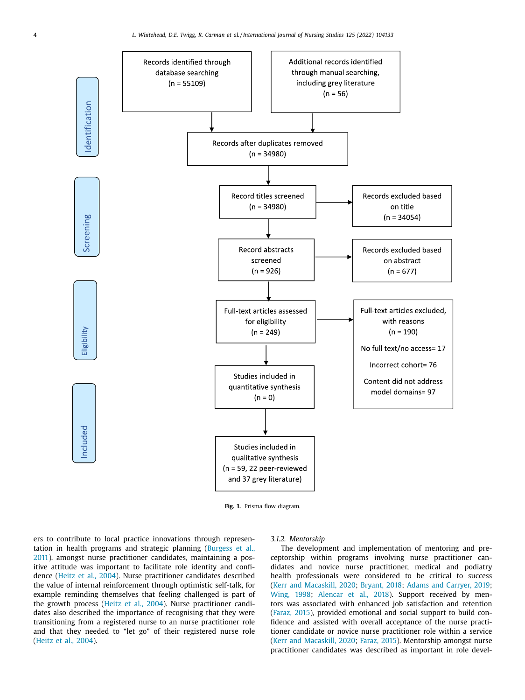<span id="page-5-0"></span>

**Fig. 1.** Prisma flow diagram.

ers to contribute to local practice innovations through representation in health programs and strategic planning (Burgess et al., 2011). amongst nurse practitioner candidates, [maintaining](#page-11-0) a positive attitude was important to facilitate role identity and confidence [\(Heitz](#page-12-0) et al., 2004). Nurse practitioner candidates described the value of internal reinforcement through optimistic self-talk, for example reminding themselves that feeling challenged is part of the growth process [\(Heitz](#page-12-0) et al., 2004). Nurse practitioner candidates also described the importance of recognising that they were transitioning from a registered nurse to an nurse practitioner role and that they needed to "let go" of their registered nurse role [\(Heitz](#page-12-0) et al., 2004).

#### *3.1.2. Mentorship*

The development and implementation of mentoring and preceptorship within programs involving nurse practitioner candidates and novice nurse practitioner, medical and podiatry health professionals were considered to be critical to success (Kerr and [Macaskill,](#page-12-0) 2020; [Bryant,](#page-11-0) 2018; Adams and [Carryer,](#page-11-0) 2019; [Wing,](#page-12-0) 1998; [Alencar](#page-11-0) et al., 2018). Support received by mentors was associated with enhanced job satisfaction and retention [\(Faraz,](#page-11-0) 2015), provided emotional and social support to build confidence and assisted with overall acceptance of the nurse practitioner candidate or novice nurse practitioner role within a service (Kerr and [Macaskill,](#page-12-0) 2020; [Faraz,](#page-11-0) 2015). Mentorship amongst nurse practitioner candidates was described as important in role devel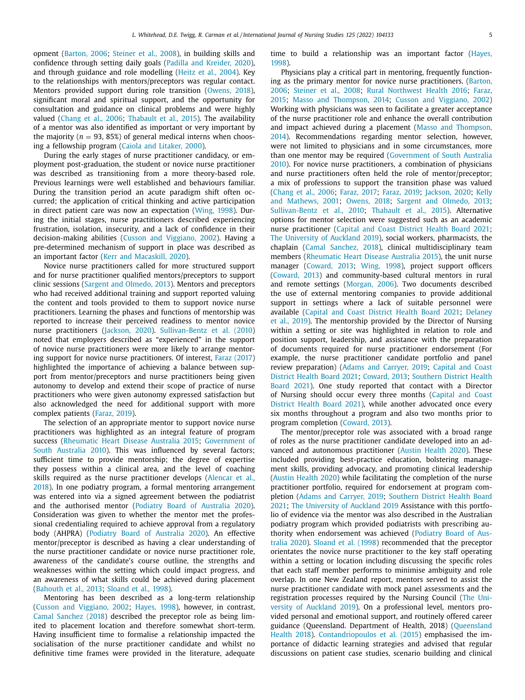opment [\(Barton,](#page-11-0) 2006; [Steiner](#page-12-0) et al., 2008), in building skills and confidence through setting daily goals (Padilla and [Kreider,](#page-12-0) 2020), and through guidance and role modelling [\(Heitz](#page-12-0) et al., 2004). Key to the relationships with mentors/preceptors was regular contact. Mentors provided support during role transition [\(Owens,](#page-12-0) 2018), significant moral and spiritual support, and the opportunity for consultation and guidance on clinical problems and were highly valued [\(Chang](#page-11-0) et al., 2006; [Thabault](#page-12-0) et al., 2015). The availability of a mentor was also identified as important or very important by the majority ( $n = 93, 85\%$ ) of general medical interns when choosing a fellowship program (Caiola and [Litaker,](#page-11-0) 2000).

During the early stages of nurse practitioner candidacy, or employment post-graduation, the student or novice nurse practitioner was described as transitioning from a more theory-based role. Previous learnings were well established and behaviours familiar. During the transition period an acute paradigm shift often occurred; the application of critical thinking and active participation in direct patient care was now an expectation [\(Wing,](#page-12-0) 1998). During the initial stages, nurse practitioners described experiencing frustration, isolation, insecurity, and a lack of confidence in their decision-making abilities (Cusson and [Viggiano,](#page-11-0) 2002). Having a pre-determined mechanism of support in place was described as an important factor (Kerr and [Macaskill,](#page-12-0) 2020).

Novice nurse practitioners called for more structured support and for nurse practitioner qualified mentors/preceptors to support clinic sessions (Sargent and [Olmedo,](#page-12-0) 2013). Mentors and preceptors who had received additional training and support reported valuing the content and tools provided to them to support novice nurse practitioners. Learning the phases and functions of mentorship was reported to increase their perceived readiness to mentor novice nurse practitioners [\(Jackson,](#page-12-0) 2020). [Sullivan-Bentz](#page-12-0) et al. (2010) noted that employers described as "experienced" in the support of novice nurse practitioners were more likely to arrange mentoring support for novice nurse practitioners. Of interest, Faraz [\(2017\)](#page-11-0) highlighted the importance of achieving a balance between support from mentor/preceptors and nurse practitioners being given autonomy to develop and extend their scope of practice of nurse practitioners who were given autonomy expressed satisfaction but also acknowledged the need for additional support with more complex patients [\(Faraz,](#page-11-0) 2019).

The selection of an appropriate mentor to support novice nurse practitioners was highlighted as an integral feature of program success [\(Rheumatic](#page-12-0) Heart Disease Australia 2015; [Government](#page-11-0) of South Australia 2010). This was influenced by several factors; sufficient time to provide mentorship; the degree of expertise they possess within a clinical area, and the level of coaching skills required as the nurse practitioner develops (Alencar et al., 2018). In one podiatry program, a formal mentoring [arrangement](#page-11-0) was entered into via a signed agreement between the podiatrist and the authorised mentor (Podiatry Board of [Australia](#page-12-0) 2020). Consideration was given to whether the mentor met the professional credentialing required to achieve approval from a regulatory body (AHPRA) (Podiatry Board of [Australia](#page-12-0) 2020). An effective mentor/preceptor is described as having a clear understanding of the nurse practitioner candidate or novice nurse practitioner role, awareness of the candidate's course outline, the strengths and weaknesses within the setting which could impact progress, and an awareness of what skills could be achieved during placement [\(Bahouth](#page-11-0) et al., 2013; [Sloand](#page-12-0) et al., 1998).

Mentoring has been described as a long-term relationship (Cusson and [Viggiano,](#page-11-0) 2002; [Hayes,](#page-12-0) 1998), however, in contrast, Camal [Sanchez](#page-11-0) (2018) described the preceptor role as being limited to placement location and therefore somewhat short-term. Having insufficient time to formalise a relationship impacted the socialisation of the nurse practitioner candidate and whilst no definitive time frames were provided in the literature, adequate time to build a [relationship](#page-12-0) was an important factor (Hayes, 1998).

Physicians play a critical part in mentoring, frequently functioning as the primary mentor for novice nurse [practitioners.](#page-11-0) (Barton, 2006; [Steiner](#page-12-0) et al., 2008; Rural [Northwest](#page-12-0) Health 2016; Faraz, 2015; Masso and [Thompson,](#page-11-0) 2014; Cusson and [Viggiano,](#page-11-0) 2002) Working with physicians was seen to facilitate a greater acceptance of the nurse practitioner role and enhance the overall contribution and impact achieved during a placement (Masso and Thompson, 2014). [Recommendations](#page-12-0) regarding mentor selection, however, were not limited to physicians and in some circumstances, more than one mentor may be required [\(Government](#page-11-0) of South Australia 2010). For novice nurse practitioners, a combination of physicians and nurse practitioners often held the role of mentor/preceptor; a mix of professions to support the transition phase was valued [\(Chang](#page-11-0) et al., 2006; [Faraz,](#page-11-0) 2017; [Faraz,](#page-11-0) 2019; [Jackson,](#page-12-0) 2020; Kelly and [Mathews,](#page-12-0) 2001; [Owens,](#page-12-0) 2018; Sargent and [Olmedo,](#page-12-0) 2013; [Sullivan-Bentz](#page-12-0) et al., 2010; [Thabault](#page-12-0) et al., 2015). Alternative options for mentor selection were suggested such as an academic nurse practitioner (Capital and Coast [District](#page-11-0) Health Board 2021; The [University](#page-12-0) of Auckland 2019), social workers, pharmacists, the chaplain (Camal [Sanchez,](#page-11-0) 2018), clinical multidisciplinary team members [\(Rheumatic](#page-12-0) Heart Disease Australia 2015), the unit nurse manager [\(Coward,](#page-11-0) 2013; [Wing,](#page-12-0) 1998), project support officers [\(Coward,](#page-11-0) 2013) and community-based cultural mentors in rural and remote settings [\(Morgan,](#page-12-0) 2006). Two documents described the use of external mentoring companies to provide additional support in settings where a lack of suitable personnel were available (Capital and Coast [District](#page-11-0) Health Board 2021; Delaney et al., 2019). The [mentorship](#page-11-0) provided by the Director of Nursing within a setting or site was highlighted in relation to role and position support, leadership, and assistance with the preparation of documents required for nurse practitioner endorsement (For example, the nurse practitioner candidate portfolio and panel review [preparation\)](#page-11-0) (Adams and [Carryer,](#page-11-0) 2019; Capital and Coast District Health Board 2021; [Coward,](#page-11-0) 2013; [Southern](#page-12-0) District Health Board 2021). One study reported that contact with a Director of Nursing should occur every three months (Capital and Coast District Health Board 2021), while another [advocated](#page-11-0) once every six months throughout a program and also two months prior to program completion [\(Coward,](#page-11-0) 2013).

The mentor/preceptor role was associated with a broad range of roles as the nurse practitioner candidate developed into an advanced and autonomous practitioner [\(Austin](#page-11-0) Health 2020). These included providing best-practice education, bolstering management skills, providing advocacy, and promoting clinical leadership (Austin [Health](#page-11-0) 2020) while facilitating the completion of the nurse practitioner portfolio, required for endorsement at program completion (Adams and [Carryer,](#page-11-0) 2019; Southern District Health Board 2021; The [University](#page-12-0) of Auckland 2019 [Assistance](#page-12-0) with this portfolio of evidence via the mentor was also described in the Australian podiatry program which provided podiatrists with prescribing authority when endorsement was achieved (Podiatry Board of Australia 2020). [Sloand](#page-12-0) et al. (1998) [recommended](#page-12-0) that the preceptor orientates the novice nurse practitioner to the key staff operating within a setting or location including discussing the specific roles that each staff member performs to minimise ambiguity and role overlap. In one New Zealand report, mentors served to assist the nurse practitioner candidate with mock panel assessments and the registration processes required by the Nursing Council (The University of Auckland 2019). On a [professional](#page-12-0) level, mentors provided personal and emotional support, and routinely offered career guidance (Queensland. Department of Health, 2018) (Queensland Health 2018). [Contandriopoulos](#page-12-0) et al. (2015) emphasised the importance of didactic learning strategies and advised that regular discussions on patient case studies, scenario building and clinical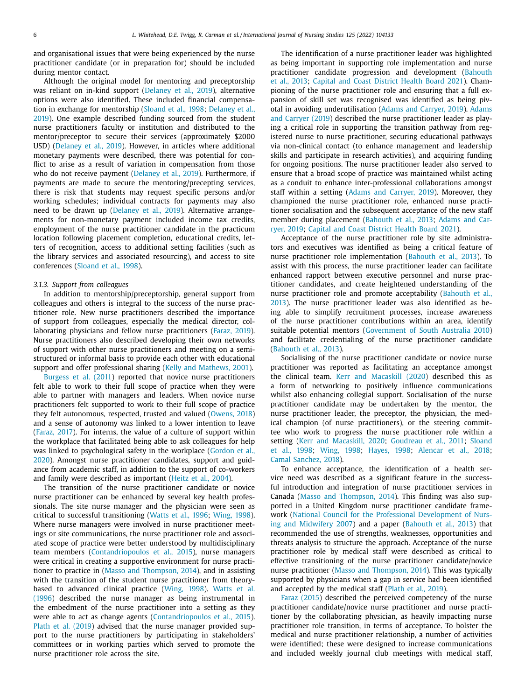and organisational issues that were being experienced by the nurse practitioner candidate (or in preparation for) should be included during mentor contact.

Although the original model for mentoring and preceptorship was reliant on in-kind support [\(Delaney](#page-11-0) et al., 2019), alternative options were also identified. These included financial compensation in exchange for [mentorship](#page-11-0) [\(Sloand](#page-12-0) et al., 1998; Delaney et al., 2019). One example described funding sourced from the student nurse practitioners faculty or institution and distributed to the mentor/preceptor to secure their services (approximately \$2000 USD) [\(Delaney](#page-11-0) et al., 2019). However, in articles where additional monetary payments were described, there was potential for conflict to arise as a result of variation in compensation from those who do not receive payment [\(Delaney](#page-11-0) et al., 2019). Furthermore, if payments are made to secure the mentoring/precepting services, there is risk that students may request specific persons and/or working schedules; individual contracts for payments may also need to be drawn up [\(Delaney](#page-11-0) et al., 2019). Alternative arrangements for non-monetary payment included income tax credits, employment of the nurse practitioner candidate in the practicum location following placement completion, educational credits, letters of recognition, access to additional setting facilities (such as the library services and associated resourcing), and access to site conferences [\(Sloand](#page-12-0) et al., 1998).

#### *3.1.3. Support from colleagues*

In addition to mentorship/preceptorship, general support from colleagues and others is integral to the success of the nurse practitioner role. New nurse practitioners described the importance of support from colleagues, especially the medical director, collaborating physicians and fellow nurse practitioners [\(Faraz,](#page-11-0) 2019). Nurse practitioners also described developing their own networks of support with other nurse practitioners and meeting on a semistructured or informal basis to provide each other with educational support and offer professional sharing (Kelly and [Mathews,](#page-12-0) 2001).

[Burgess](#page-11-0) et al. (2011) reported that novice nurse practitioners felt able to work to their full scope of practice when they were able to partner with managers and leaders. When novice nurse practitioners felt supported to work to their full scope of practice they felt autonomous, respected, trusted and valued [\(Owens,](#page-12-0) 2018) and a sense of autonomy was linked to a lower intention to leave [\(Faraz,](#page-11-0) 2017). For interns, the value of a culture of support within the workplace that facilitated being able to ask colleagues for help was linked to [psychological](#page-11-0) safety in the workplace (Gordon et al., 2020). Amongst nurse practitioner candidates, support and guidance from academic staff, in addition to the support of co-workers and family were described as important [\(Heitz](#page-12-0) et al., 2004).

The transition of the nurse practitioner candidate or novice nurse practitioner can be enhanced by several key health professionals. The site nurse manager and the physician were seen as critical to successful transitioning [\(Watts](#page-12-0) et al., 1996; [Wing,](#page-12-0) 1998). Where nurse managers were involved in nurse practitioner meetings or site communications, the nurse practitioner role and associated scope of practice were better understood by multidisciplinary team members [\(Contandriopoulos](#page-11-0) et al., 2015), nurse managers were critical in creating a supportive environment for nurse practitioner to practice in (Masso and [Thompson,](#page-12-0) 2014), and in assisting with the transition of the student nurse practitioner from theorybased to advanced clinical practice [\(Wing,](#page-12-0) 1998). Watts et al. (1996) described the nurse manager as being [instrumental](#page-12-0) in the embedment of the nurse practitioner into a setting as they were able to act as change agents [\(Contandriopoulos](#page-11-0) et al., 2015). Plath et al. [\(2019\)](#page-12-0) advised that the nurse manager provided support to the nurse practitioners by participating in stakeholders' committees or in working parties which served to promote the nurse practitioner role across the site.

The identification of a nurse practitioner leader was highlighted as being important in supporting role implementation and nurse practitioner candidate progression and [development](#page-11-0) (Bahouth et al., 2013; Capital and Coast [District](#page-11-0) Health Board 2021). Championing of the nurse practitioner role and ensuring that a full expansion of skill set was recognised was identified as being pivotal in avoiding [underutilisation](#page-11-0) (Adams and [Carryer,](#page-11-0) 2019). Adams and Carryer (2019) described the nurse practitioner leader as playing a critical role in supporting the transition pathway from registered nurse to nurse practitioner, securing educational pathways via non-clinical contact (to enhance management and leadership skills and participate in research activities), and acquiring funding for ongoing positions. The nurse practitioner leader also served to ensure that a broad scope of practice was maintained whilst acting as a conduit to enhance inter-professional collaborations amongst staff within a setting (Adams and [Carryer,](#page-11-0) 2019). Moreover, they championed the nurse practitioner role, enhanced nurse practitioner socialisation and the subsequent acceptance of the new staff member during [placement](#page-11-0) [\(Bahouth](#page-11-0) et al., 2013; Adams and Carryer, 2019; Capital and Coast [District](#page-11-0) Health Board 2021).

Acceptance of the nurse practitioner role by site administrators and executives was identified as being a critical feature of nurse practitioner role implementation [\(Bahouth](#page-11-0) et al., 2013). To assist with this process, the nurse practitioner leader can facilitate enhanced rapport between executive personnel and nurse practitioner candidates, and create heightened understanding of the nurse practitioner role and promote [acceptability](#page-11-0) (Bahouth et al., 2013). The nurse practitioner leader was also identified as being able to simplify recruitment processes, increase awareness of the nurse practitioner contributions within an area, identify suitable potential mentors [\(Government](#page-11-0) of South Australia 2010) and facilitate credentialing of the nurse practitioner candidate [\(Bahouth](#page-11-0) et al., 2013).

Socialising of the nurse practitioner candidate or novice nurse practitioner was reported as facilitating an acceptance amongst the clinical team. Kerr and [Macaskill](#page-12-0) (2020) described this as a form of networking to positively influence communications whilst also enhancing collegial support. Socialisation of the nurse practitioner candidate may be undertaken by the mentor, the nurse practitioner leader, the preceptor, the physician, the medical champion (of nurse practitioners), or the steering committee who work to progress the nurse practitioner role within a setting (Kerr and [Macaskill,](#page-12-0) 2020; [Goudreau](#page-11-0) et al., 2011; Sloand et al., 1998; [Wing,](#page-12-0) 1998; [Hayes,](#page-12-0) 1998; [Alencar](#page-11-0) et al., 2018; Camal [Sanchez,](#page-11-0) 2018).

To enhance acceptance, the identification of a health service need was described as a significant feature in the successful introduction and integration of nurse practitioner services in Canada (Masso and [Thompson,](#page-12-0) 2014). This finding was also supported in a United Kingdom nurse practitioner candidate framework (National Council for the Professional [Development](#page-12-0) of Nursing and Midwifery 2007) and a paper [\(Bahouth](#page-11-0) et al., 2013) that recommended the use of strengths, weaknesses, opportunities and threats analysis to structure the approach. Acceptance of the nurse practitioner role by medical staff were described as critical to effective transitioning of the nurse practitioner candidate/novice nurse practitioner (Masso and [Thompson,](#page-12-0) 2014). This was typically supported by physicians when a gap in service had been identified and accepted by the medical staff [\(Plath](#page-12-0) et al., 2019).

Faraz [\(2015\)](#page-11-0) described the perceived competency of the nurse practitioner candidate/novice nurse practitioner and nurse practitioner by the collaborating physician, as heavily impacting nurse practitioner role transition, in terms of acceptance. To bolster the medical and nurse practitioner relationship, a number of activities were identified; these were designed to increase communications and included weekly journal club meetings with medical staff,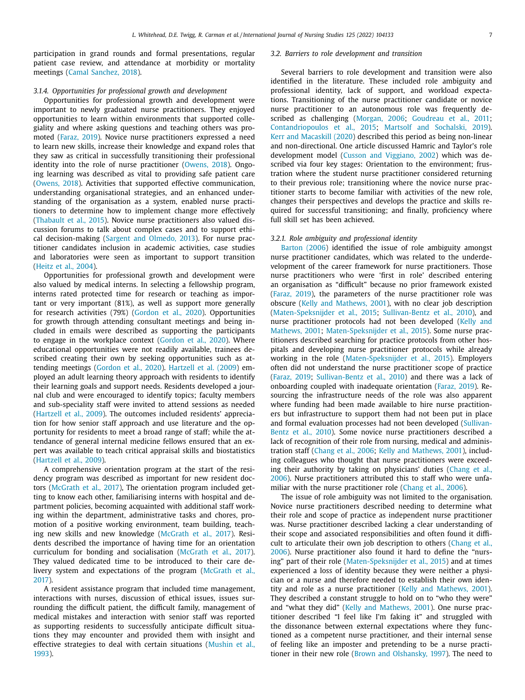participation in grand rounds and formal presentations, regular patient case review, and attendance at morbidity or mortality meetings (Camal [Sanchez,](#page-11-0) 2018).

#### *3.1.4. Opportunities for professional growth and development*

Opportunities for professional growth and development were important to newly graduated nurse practitioners. They enjoyed opportunities to learn within environments that supported collegiality and where asking questions and teaching others was promoted [\(Faraz,](#page-11-0) 2019). Novice nurse practitioners expressed a need to learn new skills, increase their knowledge and expand roles that they saw as critical in successfully transitioning their professional identity into the role of nurse practitioner [\(Owens,](#page-12-0) 2018). Ongoing learning was described as vital to providing safe patient care [\(Owens,](#page-12-0) 2018). Activities that supported effective communication, understanding organisational strategies, and an enhanced understanding of the organisation as a system, enabled nurse practitioners to determine how to implement change more effectively [\(Thabault](#page-12-0) et al., 2015). Novice nurse practitioners also valued discussion forums to talk about complex cases and to support ethical decision-making (Sargent and [Olmedo,](#page-12-0) 2013). For nurse practitioner candidates inclusion in academic activities, case studies and laboratories were seen as important to support transition [\(Heitz](#page-12-0) et al., 2004).

Opportunities for professional growth and development were also valued by medical interns. In selecting a fellowship program, interns rated protected time for research or teaching as important or very important (81%), as well as support more generally for research activities (79%) [\(Gordon](#page-11-0) et al., 2020). Opportunities for growth through attending consultant meetings and being included in emails were described as supporting the participants to engage in the workplace context [\(Gordon](#page-11-0) et al., 2020). Where educational opportunities were not readily available, trainees described creating their own by seeking opportunities such as attending meetings [\(Gordon](#page-11-0) et al., 2020). [Hartzell](#page-12-0) et al. (2009) employed an adult learning theory approach with residents to identify their learning goals and support needs. Residents developed a journal club and were encouraged to identify topics; faculty members and sub-speciality staff were invited to attend sessions as needed [\(Hartzell](#page-12-0) et al., 2009). The outcomes included residents' appreciation for how senior staff approach and use literature and the opportunity for residents to meet a broad range of staff; while the attendance of general internal medicine fellows ensured that an expert was available to teach critical appraisal skills and biostatistics [\(Hartzell](#page-12-0) et al., 2009).

A comprehensive orientation program at the start of the residency program was described as important for new resident doctors [\(McGrath](#page-12-0) et al., 2017), The orientation program included getting to know each other, familiarising interns with hospital and department policies, becoming acquainted with additional staff working within the department, administrative tasks and chores, promotion of a positive working environment, team building, teaching new skills and new knowledge [\(McGrath](#page-12-0) et al., 2017). Residents described the importance of having time for an orientation curriculum for bonding and socialisation [\(McGrath](#page-12-0) et al., 2017). They valued dedicated time to be introduced to their care delivery system and [expectations](#page-12-0) of the program (McGrath et al., 2017).

A resident assistance program that included time management, interactions with nurses, discussion of ethical issues, issues surrounding the difficult patient, the difficult family, management of medical mistakes and interaction with senior staff was reported as supporting residents to successfully anticipate difficult situations they may encounter and provided them with insight and effective strategies to deal with certain [situations](#page-12-0) (Mushin et al., 1993).

#### *3.2. Barriers to role development and transition*

Several barriers to role development and transition were also identified in the literature. These included role ambiguity and professional identity, lack of support, and workload expectations. Transitioning of the nurse practitioner candidate or novice nurse practitioner to an autonomous role was frequently described as challenging [\(Morgan,](#page-12-0) 2006; [Goudreau](#page-11-0) et al., 2011; [Contandriopoulos](#page-11-0) et al., 2015; Martsolf and [Sochalski,](#page-12-0) 2019). Kerr and [Macaskill](#page-12-0) (2020) described this period as being non-linear and non-directional. One article discussed Hamric and Taylor's role development model (Cusson and [Viggiano,](#page-11-0) 2002) which was described via four key stages: Orientation to the environment; frustration where the student nurse practitioner considered returning to their previous role; transitioning where the novice nurse practitioner starts to become familiar with activities of the new role, changes their perspectives and develops the practice and skills required for successful transitioning; and finally, proficiency where full skill set has been achieved.

#### *3.2.1. Role ambiguity and professional identity*

[Barton](#page-11-0) (2006) identified the issue of role ambiguity amongst nurse practitioner candidates, which was related to the underdevelopment of the career framework for nurse practitioners. Those nurse practitioners who were 'first in role' described entering an organisation as "difficult" because no prior framework existed [\(Faraz,](#page-11-0) 2019), the parameters of the nurse practitioner role was obscure (Kelly and [Mathews,](#page-12-0) 2001), with no clear job description [\(Maten-Speksnijder](#page-12-0) et al., 2015; [Sullivan-Bentz](#page-12-0) et al., 2010), and nurse practitioner protocols had not been developed (Kelly and Mathews, 2001; [Maten-Speksnijder](#page-12-0) et al., 2015). Some nurse practitioners described searching for practice protocols from other hospitals and developing nurse practitioner protocols while already working in the role [\(Maten-Speksnijder](#page-12-0) et al., 2015). Employers often did not understand the nurse practitioner scope of practice [\(Faraz,](#page-11-0) 2019; [Sullivan-Bentz](#page-12-0) et al., 2010) and there was a lack of onboarding coupled with inadequate orientation [\(Faraz,](#page-11-0) 2019). Resourcing the infrastructure needs of the role was also apparent where funding had been made available to hire nurse practitioners but infrastructure to support them had not been put in place and formal evaluation processes had not been developed (Sullivan-Bentz et al., 2010). Some novice nurse [practitioners](#page-12-0) described a lack of recognition of their role from nursing, medical and administration staff [\(Chang](#page-11-0) et al., 2006; Kelly and [Mathews,](#page-12-0) 2001), including colleagues who thought that nurse practitioners were exceeding their authority by taking on physicians' duties (Chang et al., 2006). Nurse [practitioners](#page-11-0) attributed this to staff who were unfa-miliar with the nurse practitioner role [\(Chang](#page-11-0) et al., 2006).

The issue of role ambiguity was not limited to the organisation. Novice nurse practitioners described needing to determine what their role and scope of practice as independent nurse practitioner was. Nurse practitioner described lacking a clear understanding of their scope and associated responsibilities and often found it difficult to articulate their own job description to others (Chang et al., 2006). Nurse [practitioner](#page-11-0) also found it hard to define the "nursing" part of their role [\(Maten-Speksnijder](#page-12-0) et al., 2015) and at times experienced a loss of identity because they were neither a physician or a nurse and therefore needed to establish their own identity and role as a nurse practitioner (Kelly and [Mathews,](#page-12-0) 2001). They described a constant struggle to hold on to "who they were" and "what they did" (Kelly and [Mathews,](#page-12-0) 2001). One nurse practitioner described "I feel like I'm faking it" and struggled with the dissonance between external expectations where they functioned as a competent nurse practitioner, and their internal sense of feeling like an imposter and pretending to be a nurse practitioner in their new role (Brown and [Olshansky,](#page-11-0) 1997). The need to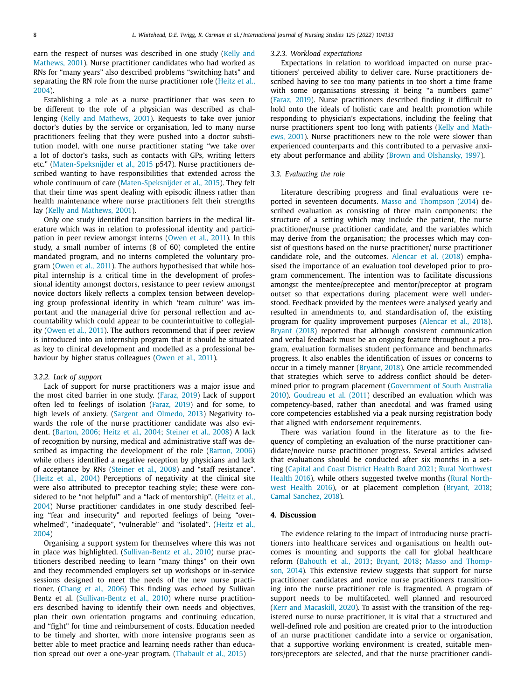earn the respect of nurses was described in one study (Kelly and Mathews, 2001). Nurse [practitioner](#page-12-0) candidates who had worked as RNs for "many years" also described problems "switching hats" and separating the RN role from the nurse [practitioner](#page-12-0) role (Heitz et al., 2004).

Establishing a role as a nurse practitioner that was seen to be different to the role of a physician was described as challenging (Kelly and [Mathews,](#page-12-0) 2001). Requests to take over junior doctor's duties by the service or organisation, led to many nurse practitioners feeling that they were pushed into a doctor substitution model, with one nurse practitioner stating "we take over a lot of doctor's tasks, such as contacts with GPs, writing letters etc." [\(Maten-Speksnijder](#page-12-0) et al., 2015 p547). Nurse practitioners described wanting to have responsibilities that extended across the whole continuum of care [\(Maten-Speksnijder](#page-12-0) et al., 2015). They felt that their time was spent dealing with episodic illness rather than health maintenance where nurse practitioners felt their strengths lay (Kelly and [Mathews,](#page-12-0) 2001).

Only one study identified transition barriers in the medical literature which was in relation to professional identity and participation in peer review amongst interns [\(Owen](#page-12-0) et al., 2011). In this study, a small number of interns (8 of 60) completed the entire mandated program, and no interns completed the voluntary program [\(Owen](#page-12-0) et al., 2011). The authors hypothesised that while hospital internship is a critical time in the development of professional identity amongst doctors, resistance to peer review amongst novice doctors likely reflects a complex tension between developing group professional identity in which 'team culture' was important and the managerial drive for personal reflection and accountability which could appear to be counterintuitive to collegiality [\(Owen](#page-12-0) et al., 2011). The authors recommend that if peer review is introduced into an internship program that it should be situated as key to clinical development and modelled as a professional behaviour by higher status colleagues [\(Owen](#page-12-0) et al., 2011).

#### *3.2.2. Lack of support*

Lack of support for nurse practitioners was a major issue and the most cited barrier in one study. [\(Faraz,](#page-11-0) 2019) Lack of support often led to feelings of isolation [\(Faraz,](#page-11-0) 2019) and for some, to high levels of anxiety. (Sargent and [Olmedo,](#page-12-0) 2013) Negativity towards the role of the nurse practitioner candidate was also evident. [\(Barton,](#page-11-0) 2006; Heitz et al., [2004;](#page-12-0) [Steiner](#page-12-0) et al., 2008) A lack of recognition by nursing, medical and administrative staff was described as impacting the development of the role [\(Barton,](#page-11-0) 2006) while others identified a negative reception by physicians and lack of acceptance by RNs [\(Steiner](#page-12-0) et al., 2008) and "staff resistance". [\(Heitz](#page-12-0) et al., 2004) Perceptions of negativity at the clinical site were also attributed to preceptor teaching style; these were considered to be "not helpful" and a "lack of [mentorship".](#page-12-0) (Heitz et al., 2004) Nurse practitioner candidates in one study described feeling "fear and insecurity" and reported feelings of being "overwhelmed", "inadequate", ["vulnerable" and](#page-12-0) "isolated". (Heitz et al., 2004)

Organising a support system for themselves where this was not in place was highlighted. [\(Sullivan-Bentz](#page-12-0) et al., 2010) nurse practitioners described needing to learn "many things" on their own and they recommended employers set up workshops or in-service sessions designed to meet the needs of the new nurse practitioner. [\(Chang](#page-11-0) et al., 2006) This finding was echoed by Sullivan Bentz et al. [\(Sullivan-Bentz](#page-12-0) et al., 2010) where nurse practitioners described having to identify their own needs and objectives, plan their own orientation programs and continuing education, and "fight" for time and reimbursement of costs. Education needed to be timely and shorter, with more intensive programs seen as better able to meet practice and learning needs rather than education spread out over a one-year program. [\(Thabault](#page-12-0) et al., 2015)

#### *3.2.3. Workload expectations*

Expectations in relation to workload impacted on nurse practitioners' perceived ability to deliver care. Nurse practitioners described having to see too many patients in too short a time frame with some organisations stressing it being "a numbers game" [\(Faraz,](#page-11-0) 2019). Nurse practitioners described finding it difficult to hold onto the ideals of holistic care and health promotion while responding to physician's expectations, including the feeling that nurse [practitioners](#page-12-0) spent too long with patients (Kelly and Mathews, 2001). Nurse practitioners new to the role were slower than experienced counterparts and this contributed to a pervasive anxiety about performance and ability (Brown and [Olshansky,](#page-11-0) 1997).

#### *3.3. Evaluating the role*

Literature describing progress and final evaluations were reported in seventeen documents. Masso and [Thompson](#page-12-0) (2014) described evaluation as consisting of three main components: the structure of a setting which may include the patient, the nurse practitioner/nurse practitioner candidate, and the variables which may derive from the organisation; the processes which may consist of questions based on the nurse practitioner/ nurse practitioner candidate role, and the outcomes. [Alencar](#page-11-0) et al. (2018) emphasised the importance of an evaluation tool developed prior to program commencement. The intention was to facilitate discussions amongst the mentee/preceptee and mentor/preceptor at program outset so that expectations during placement were well understood. Feedback provided by the mentees were analysed yearly and resulted in amendments to, and standardisation of, the existing program for quality improvement purposes [\(Alencar](#page-11-0) et al., 2018). [Bryant](#page-11-0) (2018) reported that although consistent communication and verbal feedback must be an ongoing feature throughout a program, evaluation formalises student performance and benchmarks progress. It also enables the identification of issues or concerns to occur in a timely manner [\(Bryant,](#page-11-0) 2018). One article recommended that strategies which serve to address conflict should be determined prior to program placement [\(Government](#page-11-0) of South Australia 2010). [Goudreau](#page-11-0) et al. (2011) described an evaluation which was competency-based, rather than anecdotal and was framed using core competencies established via a peak nursing registration body that aligned with endorsement requirements.

There was variation found in the literature as to the frequency of completing an evaluation of the nurse practitioner candidate/novice nurse practitioner progress. Several articles advised that evaluations should be conducted after six months in a setting (Capital and Coast [District](#page-11-0) Health Board 2021; Rural [Northwest](#page-12-0) Health 2016), while others suggested twelve months (Rural Northwest Health 2016), or at placement [completion](#page-12-0) [\(Bryant,](#page-11-0) 2018; Camal [Sanchez,](#page-11-0) 2018).

#### **4. Discussion**

The evidence relating to the impact of introducing nurse practitioners into healthcare services and organisations on health outcomes is mounting and supports the call for global healthcare reform [\(Bahouth](#page-11-0) et al., 2013; [Bryant,](#page-11-0) 2018; Masso and Thompson, 2014). This [extensive](#page-12-0) review suggests that support for nurse practitioner candidates and novice nurse practitioners transitioning into the nurse practitioner role is fragmented. A program of support needs to be multifaceted, well planned and resourced (Kerr and [Macaskill,](#page-12-0) 2020). To assist with the transition of the registered nurse to nurse practitioner, it is vital that a structured and well-defined role and position are created prior to the introduction of an nurse practitioner candidate into a service or organisation, that a supportive working environment is created, suitable mentors/preceptors are selected, and that the nurse practitioner candi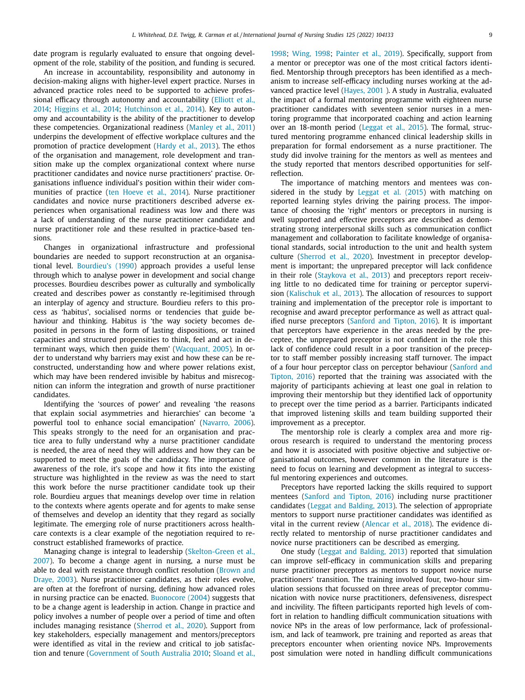date program is regularly evaluated to ensure that ongoing development of the role, stability of the position, and funding is secured.

An increase in accountability, responsibility and autonomy in decision-making aligns with higher-level expert practice. Nurses in advanced practice roles need to be supported to achieve professional efficacy through autonomy and [accountability](#page-11-0) (Elliott et al., 2014; [Higgins](#page-12-0) et al., 2014; [Hutchinson](#page-12-0) et al., 2014). Key to autonomy and accountability is the ability of the practitioner to develop these competencies. Organizational readiness [\(Manley](#page-12-0) et al., 2011) underpins the development of effective workplace cultures and the promotion of practice development [\(Hardy](#page-11-0) et al., 2013). The ethos of the organisation and management, role development and transition make up the complex organizational context where nurse practitioner candidates and novice nurse practitioners' practise. Organisations influence individual's position within their wider communities of practice (ten [Hoeve](#page-12-0) et al., 2014). Nurse practitioner candidates and novice nurse practitioners described adverse experiences when organisational readiness was low and there was a lack of understanding of the nurse practitioner candidate and nurse practitioner role and these resulted in practice-based tensions.

Changes in organizational infrastructure and professional boundaries are needed to support reconstruction at an organisational level. [Bourdieu's](#page-11-0) (1990) approach provides a useful lense through which to analyse power in development and social change processes. Bourdieu describes power as culturally and symbolically created and describes power as constantly re-legitimised through an interplay of agency and structure. Bourdieu refers to this process as 'habitus', socialised norms or tendencies that guide behaviour and thinking. Habitus is 'the way society becomes deposited in persons in the form of lasting dispositions, or trained capacities and structured propensities to think, feel and act in determinant ways, which then guide them' [\(Wacquant,](#page-12-0) 2005). In order to understand why barriers may exist and how these can be reconstructed, understanding how and where power relations exist, which may have been rendered invisible by habitus and misrecognition can inform the integration and growth of nurse practitioner candidates.

Identifying the 'sources of power' and revealing 'the reasons that explain social asymmetries and hierarchies' can become 'a powerful tool to enhance social emancipation' [\(Navarro,](#page-12-0) 2006). This speaks strongly to the need for an organisation and practice area to fully understand why a nurse practitioner candidate is needed, the area of need they will address and how they can be supported to meet the goals of the candidacy. The importance of awareness of the role, it's scope and how it fits into the existing structure was highlighted in the review as was the need to start this work before the nurse practitioner candidate took up their role. Bourdieu argues that meanings develop over time in relation to the contexts where agents operate and for agents to make sense of themselves and develop an identity that they regard as socially legitimate. The emerging role of nurse practitioners across healthcare contexts is a clear example of the negotiation required to reconstruct established frameworks of practice.

Managing change is integral to leadership [\(Skelton-Green](#page-12-0) et al., 2007). To become a change agent in nursing, a nurse must be able to deal with resistance through conflict resolution (Brown and Draye, 2003). Nurse [practitioner](#page-11-0) candidates, as their roles evolve, are often at the forefront of nursing, defining how advanced roles in nursing practice can be enacted. [Buonocore](#page-11-0) (2004) suggests that to be a change agent is leadership in action. Change in practice and policy involves a number of people over a period of time and often includes managing resistance [\(Sherrod](#page-12-0) et al., 2020). Support from key stakeholders, especially management and mentors/preceptors were identified as vital in the review and critical to job satisfaction and tenure [\(Government](#page-11-0) of South Australia 2010; [Sloand](#page-12-0) et al.,

[1998;](#page-12-0) [Wing,](#page-12-0) 1998; [Painter](#page-12-0) et al., 2019). Specifically, support from a mentor or preceptor was one of the most critical factors identified. Mentorship through preceptors has been identified as a mechanism to increase self-efficacy including nurses working at the advanced practice level [\(Hayes,](#page-12-0) 2001 ). A study in Australia, evaluated the impact of a formal mentoring programme with eighteen nurse practitioner candidates with seventeen senior nurses in a mentoring programme that incorporated coaching and action learning over an 18-month period [\(Leggat](#page-12-0) et al., 2015). The formal, structured mentoring programme enhanced clinical leadership skills in preparation for formal endorsement as a nurse practitioner. The study did involve training for the mentors as well as mentees and the study reported that mentors described opportunities for selfreflection.

The importance of matching mentors and mentees was considered in the study by [Leggat](#page-12-0) et al. (2015) with matching on reported learning styles driving the pairing process. The importance of choosing the 'right' mentors or preceptors in nursing is well supported and effective preceptors are described as demonstrating strong interpersonal skills such as communication conflict management and collaboration to facilitate knowledge of organisational standards, social introduction to the unit and health system culture [\(Sherrod](#page-12-0) et al., 2020). Investment in preceptor development is important; the unprepared preceptor will lack confidence in their role [\(Staykova](#page-12-0) et al., 2013) and preceptors report receiving little to no dedicated time for training or perceptor supervision [\(Kalischuk](#page-12-0) et al., 2013). The allocation of resources to support training and implementation of the preceptor role is important to recognise and award preceptor performance as well as attract qualified nurse preceptors [\(Sanford](#page-12-0) and Tipton, 2016). It is important that perceptors have experience in the areas needed by the preceptee, the unprepared preceptor is not confident in the role this lack of confidence could result in a poor transition of the preceptor to staff member possibly increasing staff turnover. The impact of a four hour perceptor class on perceptor behaviour (Sanford and Tipton, 2016) reported that the training was [associated](#page-12-0) with the majority of participants achieving at least one goal in relation to improving their mentorship but they identified lack of opportunity to precept over the time period as a barrier. Participants indicated that improved listening skills and team building supported their improvement as a preceptor.

The mentorship role is clearly a complex area and more rigorous research is required to understand the mentoring process and how it is associated with positive objective and subjective organisational outcomes, however common in the literature is the need to focus on learning and development as integral to successful mentoring experiences and outcomes.

Preceptors have reported lacking the skills required to support mentees [\(Sanford](#page-12-0) and Tipton, 2016) including nurse practitioner candidates (Leggat and [Balding,](#page-12-0) 2013). The selection of appropriate mentors to support nurse practitioner candidates was identified as vital in the current review [\(Alencar](#page-11-0) et al., 2018). The evidence directly related to mentorship of nurse practitioner candidates and novice nurse practitioners can be described as emerging.

One study (Leggat and [Balding,](#page-12-0) 2013) reported that simulation can improve self-efficacy in communication skills and preparing nurse practitioner preceptors as mentors to support novice nurse practitioners' transition. The training involved four, two-hour simulation sessions that focussed on three areas of preceptor communication with novice nurse practitioners, defensiveness, disrespect and incivility. The fifteen participants reported high levels of comfort in relation to handling difficult communication situations with novice NPs in the areas of low performance, lack of professionalism, and lack of teamwork, pre training and reported as areas that preceptors encounter when orienting novice NPs. Improvements post simulation were noted in handling difficult communications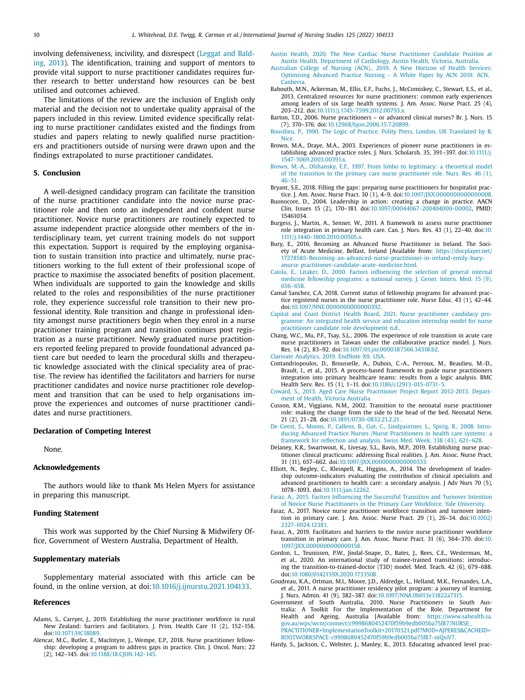<span id="page-11-0"></span>involving [defensiveness,](#page-12-0) incivility, and disrespect (Leggat and Balding, 2013). The identification, training and support of mentors to provide vital support to nurse practitioner candidates requires further research to better understand how resources can be best utilised and outcomes achieved.

The limitations of the review are the inclusion of English only material and the decision not to undertake quality appraisal of the papers included in this review. Limited evidence specifically relating to nurse practitioner candidates existed and the findings from studies and papers relating to newly qualified nurse practitioners and practitioners outside of nursing were drawn upon and the findings extrapolated to nurse practitioner candidates.

#### **5. Conclusion**

A well-designed candidacy program can facilitate the transition of the nurse practitioner candidate into the novice nurse practitioner role and then onto an independent and confident nurse practitioner. Novice nurse practitioners are routinely expected to assume independent practice alongside other members of the interdisciplinary team, yet current training models do not support this expectation. Support is required by the employing organisation to sustain transition into practice and ultimately, nurse practitioners working to the full extent of their professional scope of practice to maximise the associated benefits of position placement. When individuals are supported to gain the knowledge and skills related to the roles and responsibilities of the nurse practitioner role, they experience successful role transition to their new professional identity. Role transition and change in professional identity amongst nurse practitioners begin when they enrol in a nurse practitioner training program and transition continues post registration as a nurse practitioner. Newly graduated nurse practitioners reported feeling prepared to provide foundational advanced patient care but needed to learn the procedural skills and therapeutic knowledge associated with the clinical speciality area of practise. The review has identified the facilitators and barriers for nurse practitioner candidates and novice nurse practitioner role development and transition that can be used to help organisations improve the experiences and outcomes of nurse practitioner candidates and nurse practitioners.

#### **Declaration of Competing Interest**

None.

#### **Acknowledgements**

The authors would like to thank Ms Helen Myers for assistance in preparing this manuscript.

#### **Funding Statement**

This work was supported by the Chief Nursing & Midwifery Office, Government of Western Australia, Department of Health.

#### **Supplementary materials**

Supplementary material associated with this article can be found, in the online version, at doi[:10.1016/j.ijnurstu.2021.104133.](https://doi.org/10.1016/j.ijnurstu.2021.104133)

#### **References**

- Adams, S., Carryer, J., 2019. Establishing the nurse practitioner workforce in rural New Zealand: barriers and facilitators. J. Prim. Health Care 11 (2), 152–158. doi[:10.1071/HC18089.](https://doi.org/10.1071/HC18089)
- Alencar, M.C., Butler, E., MacIntyre, J., Wempe, E.P., 2018. Nurse practitioner fellowship: developing a program to address gaps in practice. Clin. J. Oncol. Nurs; 22 (2), 142–145. doi[:10.1188/18.CJON.142-145.](https://doi.org/10.1188/18.CJON.142-145)
- Austin Health, 2020. The New Cardiac Nurse Practitioner Candidate Position at Austin Health. [Department](http://refhub.elsevier.com/S0020-7489(21)00278-9/sbref0003) of Cardiology, Austin Health, Victoria, Australia.
- Australian College of Nursing (ACN)., 2019. A New Horizon of Health Services: [Optimising](http://refhub.elsevier.com/S0020-7489(21)00278-9/sbref0004) Advanced Practice Nursing - A White Paper by ACN 2019. ACN, Canberra.
- Bahouth, M.N., Ackerman, M., Ellis, E.F., Fuchs, J., McComiskey, C., Stewart, E.S., et al., 2013. Centralized resources for nurse practitioners: common early experiences among leaders of six large health systems. J. Am. Assoc. Nurse Pract. 25 (4), 203–212. doi[:10.1111/j.1745-7599.2012.00793.x.](https://doi.org/10.1111/j.1745-7599.2012.00793.x)
- Barton, T.D., 2006. Nurse practitioners or advanced clinical nurses? Br. J. Nurs. 15 (7), 370–376. doi[:10.12968/bjon.2006.15.7.20899.](https://doi.org/10.12968/bjon.2006.15.7.20899)
- [Bourdieu,](http://refhub.elsevier.com/S0020-7489(21)00278-9/sbref0007) P., 1990. The Logic of Practice. Polity Press, London, UK [Translated](http://refhub.elsevier.com/S0020-7489(21)00278-9/sbref0007) by R. **Nice**
- Brown, M.A., Draye, M.A., 2003. Experiences of pioneer nurse practitioners in establishing advanced practice roles. J. Nurs. Scholarsh. 35, 391–397. doi:10.1111/j. [1547-5069.2003.00391.x.](https://doi.org/10.1111/j.1547-5069.2003.00391.x)
- [Brown,](http://refhub.elsevier.com/S0020-7489(21)00278-9/sbref0009) M.-A., [Olshansky,](http://refhub.elsevier.com/S0020-7489(21)00278-9/sbref0009) E.F., 1997. From limbo to legitimacy: a theoretical model of the transition to the primary care nurse [practitioner](http://refhub.elsevier.com/S0020-7489(21)00278-9/sbref0009) role. Nurs. Res. 46 (1), 46–51.
- Bryant, S.E., 2018. Filling the gaps: preparing nurse practitioners for hospitalist practice. J. Am. Assoc. Nurse Pract. 30 (1), 4–9. doi[:10.1097/JXX.0000000000000008.](https://doi.org/10.1097/JXX.0000000000000008)
- Buonocore, D., 2004. Leadership in action: creating a change in practice. AACN Clin. Issues 15 (2), 170–181. doi[:10.1097/00044067-200404000-00002,](https://doi.org/10.1097/00044067-200404000-00002) PMID: 15461034.
- Burgess, J., Martin, A., Senner, W., 2011. A framework to assess nurse practitioner role integration in primary health care. Can. J. Nurs. Res. 43 (1), 22–40. doi:10. [1111/j.1440-1800.2010.00505.x.](https://doi.org/10.1111/j.1440-1800.2010.00505.x)
- Bury, E., 2016. Becoming an Advanced Nurse Practitioner in Ireland. The Society of Acute Medicine, Belfast, Ireland [Available from: https://docplayer.net/ [17278585-Becoming-an-advanced-nurse-practitioner-in-ireland-emily-bury](https://docplayer.net/17278585-Becoming-an-advanced-nurse-practitioner-in-ireland-emily-bury-anursepractitioner-candidate-acute-medicine.html)anurse practitioner-candidate-acute-medicine.html.
- [Caiola,](http://refhub.elsevier.com/S0020-7489(21)00278-9/sbref0014) E., [Litaker,](http://refhub.elsevier.com/S0020-7489(21)00278-9/sbref0014) D., 2000. Factors [influencing](http://refhub.elsevier.com/S0020-7489(21)00278-9/sbref0014) the selection of general internal medicine fellowship programs: a national survey. J. Gener. Intern. Med. 15 (9), 656–658.
- Camal Sanchez, C.A, 2018. Current status of fellowship programs for advanced practice registered nurses in the nurse practitioner role. Nurse Educ. 43 (1), 42–44. doi[:10.1097/NNE.0000000000000392.](https://doi.org/10.1097/NNE.0000000000000392)
- Capital and Coast District Health Board, 2021. Nurse practitioner candidacy programme: An integrated health service and education internship model for nurse practitioner candidate role [development](http://refhub.elsevier.com/S0020-7489(21)00278-9/sbref0016) n.d..
- Chang, W.C., Mu, P.F., Tsay, S.L., 2006. The experience of role transition in acute care nurse practitioners in Taiwan under the collaborative practice model. J. Nurs. Res. 14 (2), 83–92. doi[:10.1097/01.jnr.0000387566.34318.b2.](https://doi.org/10.1097/01.jnr.0000387566.34318.b2)
- Clarivate [Analytics,](http://refhub.elsevier.com/S0020-7489(21)00278-9/sbref0018) 2019. EndNote X9. USA.
- Contandriopoulos, D., Brousselle, A., Dubois, C.-A., Perroux, M., Beaulieu, M.-D., Brault, I., et al., 2015. A process-based framework to guide nurse practitioners integration into primary healthcare teams: results from a logic analysis. BMC Health Serv. Res. 15 (1), 1–11. doi[:10.1186/s12913-015-0731-5.](https://doi.org/10.1186/s12913-015-0731-5)
- [Coward,](http://refhub.elsevier.com/S0020-7489(21)00278-9/sbref0020) S., 2013. Aged Care Nurse [Practitioner](http://refhub.elsevier.com/S0020-7489(21)00278-9/sbref0020) Project Report 2012-2013. Department of Health, Victoria Australia.
- Cusson, R.M., Viggiano, N.M., 2002. Transition to the neonatal nurse practitioner role: making the change from the side to the head of the bed. Neonatal Netw. 21 (2), 21–28. doi[:10.1891/0730-0832.21.2.21.](https://doi.org/10.1891/0730-0832.21.2.21)
- De [Geest,](http://refhub.elsevier.com/S0020-7489(21)00278-9/sbref0022) S., [Moons,](http://refhub.elsevier.com/S0020-7489(21)00278-9/sbref0022) P., [Callens,](http://refhub.elsevier.com/S0020-7489(21)00278-9/sbref0022) B., [Gut,](http://refhub.elsevier.com/S0020-7489(21)00278-9/sbref0022) C., [Lindpaintner,](http://refhub.elsevier.com/S0020-7489(21)00278-9/sbref0022) L., [Spirig,](http://refhub.elsevier.com/S0020-7489(21)00278-9/sbref0022) R., 2008. Introducing Advanced Practice Nurses /Nurse Practitioners in health care systems: a framework for reflection and analysis. Swiss Med. Week. 138 (43), 621–628.
- Delaney, K.R., Swartwout, K., Livesay, S.L., Bavis, M.P., 2019. Establishing nurse practitioner clinical practicums: addressing fiscal realities. J. Am. Assoc. Nurse Pract. 31 (11), 657–662. doi[:10.1097/JXX.0000000000000333.](https://doi.org/10.1097/JXX.0000000000000333)
- Elliott, N., Begley, C., Kleinpell, R., Higgins, A., 2014. The development of leadership outcome-indicators evaluating the contribution of clinical specialists and advanced practitioners to health care: a secondary analysis. J Adv Nurs 70 (5), 1078–1093. doi[:10.1111/jan.12262.](https://doi.org/10.1111/jan.12262)

[Faraz,](http://refhub.elsevier.com/S0020-7489(21)00278-9/sbref0025) A., 2015. Factors Influencing the Successful Transition and Turnover Intention of Novice Nurse [Practitioners](http://refhub.elsevier.com/S0020-7489(21)00278-9/sbref0025) in the Primary Care Workforce. Yale University.

- Faraz, A., 2017. Novice nurse practitioner workforce transition and turnover intention in primary care. J. Am. Assoc. Nurse Pract. 29 (1), 26–34. doi:10.1002/ [2327-6924.12381.](https://doi.org/10.1002/2327-6924.12381)
- Faraz, A., 2019. Facilitators and barriers to the novice nurse practitioner workforce transition in primary care. J. Am. Assoc. Nurse Pract. 31 (6), 364–370. doi:10. [1097/JXX.0000000000000158.](https://doi.org/10.1097/JXX.0000000000000158)
- Gordon, L., Teunissen, P.W., Jindal-Snape, D., Bates, J., Rees, C.E., Westerman, M., et al., 2020. An international study of trainee-trained transitions: introducing the transition-to-trained-doctor (T3D) model. Med. Teach. 42 (6), 679–688. doi[:10.1080/0142159X.2020.1733508.](https://doi.org/10.1080/0142159X.2020.1733508)
- Goudreau, K.A., Ortman, M.I., Moore, J.D., Aldredge, L., Helland, M.K., Fernandes, L.A., et al., 2011. A nurse practitioner residency pilot program: a journey of learning. J. Nurs. Admin. 41 (9), 382–387. doi[:10.1097/NNA.0b013e31822a7315.](https://doi.org/10.1097/NNA.0b013e31822a7315)
- Government of South Australia, 2010. Nurse Practitioners in South Australia: A Toolkit For the Implementation of the Role. Department for Health and Ageing, Australia [Available from: https://www.sahealth.sa. gov.au/wps/wcm/connect/c9998680452470f59b9edb005ba75f87/NURSE\_ [PRACTITIONER+ImplementationToolkit+20170321.pdf?MOD=AJPERES&CACHEID=](https://www.sahealth.sa.gov.au/wps/wcm/connect/c9998680452470f59b9edb005ba75f87/NURSE_PRACTITIONER+ImplementationToolkit+20170321.pdf?MOD=AJPERES&CACHEID=ROOTWORKSPACE-c9998680452470f59b9edb005ba75f87-niQsiV7) ROOTWORKSPACE-c9998680452470f59b9edb005ba75f87-niQsiV7.
- Hardy, S., Jackson, C., Webster, J., Manley, K., 2013. Educating advanced level prac-